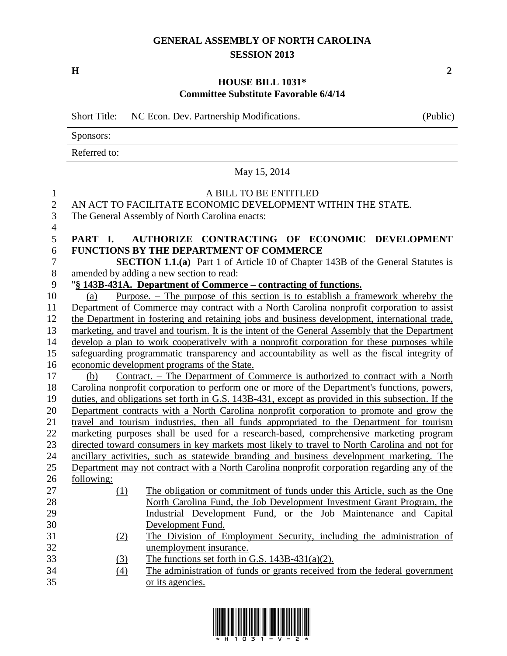## **GENERAL ASSEMBLY OF NORTH CAROLINA SESSION 2013**

**H 2**

### **HOUSE BILL 1031\* Committee Substitute Favorable 6/4/14**

Short Title: NC Econ. Dev. Partnership Modifications. (Public)

Sponsors:

Referred to:

|                                                       |            | May 15, 2014                                                                                                                           |
|-------------------------------------------------------|------------|----------------------------------------------------------------------------------------------------------------------------------------|
| $\mathbf{1}$<br>$\overline{2}$<br>3<br>$\overline{4}$ |            | A BILL TO BE ENTITLED<br>AN ACT TO FACILITATE ECONOMIC DEVELOPMENT WITHIN THE STATE.<br>The General Assembly of North Carolina enacts: |
| 5                                                     | PART I.    | AUTHORIZE CONTRACTING OF ECONOMIC DEVELOPMENT                                                                                          |
| 6                                                     |            | <b>FUNCTIONS BY THE DEPARTMENT OF COMMERCE</b>                                                                                         |
| $\tau$                                                |            | <b>SECTION 1.1.(a)</b> Part 1 of Article 10 of Chapter 143B of the General Statutes is                                                 |
| $8\,$                                                 |            | amended by adding a new section to read:                                                                                               |
| 9                                                     |            | "§ 143B-431A. Department of Commerce – contracting of functions.                                                                       |
| 10                                                    | (a)        | Purpose. $-$ The purpose of this section is to establish a framework whereby the                                                       |
| 11                                                    |            | Department of Commerce may contract with a North Carolina nonprofit corporation to assist                                              |
| 12                                                    |            | the Department in fostering and retaining jobs and business development, international trade,                                          |
| 13                                                    |            | marketing, and travel and tourism. It is the intent of the General Assembly that the Department                                        |
| 14                                                    |            | develop a plan to work cooperatively with a nonprofit corporation for these purposes while                                             |
| 15                                                    |            | safeguarding programmatic transparency and accountability as well as the fiscal integrity of                                           |
| 16                                                    |            | economic development programs of the State.                                                                                            |
| 17                                                    | (b)        | Contract. – The Department of Commerce is authorized to contract with a North                                                          |
| 18                                                    |            | Carolina nonprofit corporation to perform one or more of the Department's functions, powers,                                           |
| 19                                                    |            | duties, and obligations set forth in G.S. 143B-431, except as provided in this subsection. If the                                      |
| 20                                                    |            | Department contracts with a North Carolina nonprofit corporation to promote and grow the                                               |
| 21                                                    |            | travel and tourism industries, then all funds appropriated to the Department for tourism                                               |
| 22                                                    |            | marketing purposes shall be used for a research-based, comprehensive marketing program                                                 |
| 23                                                    |            | directed toward consumers in key markets most likely to travel to North Carolina and not for                                           |
| 24                                                    |            | ancillary activities, such as statewide branding and business development marketing. The                                               |
| 25                                                    |            | Department may not contract with a North Carolina nonprofit corporation regarding any of the                                           |
| 26                                                    | following: |                                                                                                                                        |
| 27                                                    | (1)        | The obligation or commitment of funds under this Article, such as the One                                                              |
| 28                                                    |            | North Carolina Fund, the Job Development Investment Grant Program, the                                                                 |
| 29                                                    |            | Industrial Development Fund, or the Job Maintenance and Capital                                                                        |
| 30                                                    |            | Development Fund.                                                                                                                      |
| 31                                                    | (2)        | The Division of Employment Security, including the administration of                                                                   |
| 32                                                    |            | unemployment insurance.                                                                                                                |
| 33                                                    | (3)        | The functions set forth in G.S. $143B-431(a)(2)$ .                                                                                     |
| 34                                                    | (4)        | The administration of funds or grants received from the federal government                                                             |
| 35                                                    |            | or its agencies.                                                                                                                       |

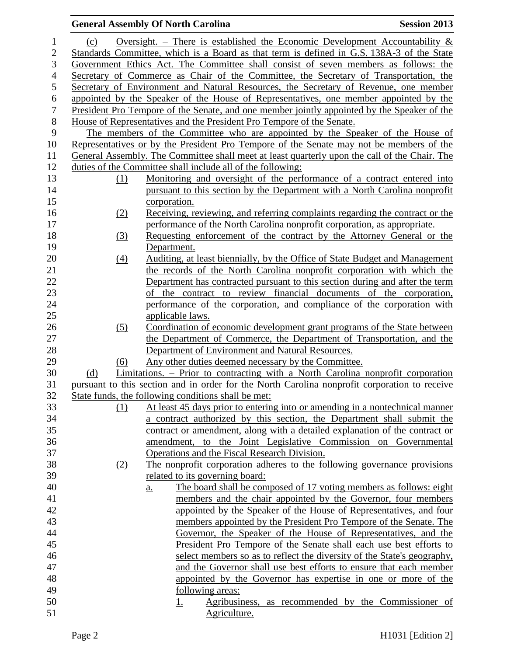### **General Assembly Of North Carolina Session 2013** 1 (c) Oversight. – There is established the Economic Development Accountability  $\&$  Standards Committee, which is a Board as that term is defined in G.S. 138A-3 of the State Government Ethics Act. The Committee shall consist of seven members as follows: the Secretary of Commerce as Chair of the Committee, the Secretary of Transportation, the Secretary of Environment and Natural Resources, the Secretary of Revenue, one member 6 appointed by the Speaker of the House of Representatives, one member appointed by the 7 President Pro Tempore of the Senate, and one member jointly appointed by the Speaker of the President Pro Tempore of the Senate, and one member jointly appointed by the Speaker of the House of Representatives and the President Pro Tempore of the Senate. The members of the Committee who are appointed by the Speaker of the House of Representatives or by the President Pro Tempore of the Senate may not be members of the General Assembly. The Committee shall meet at least quarterly upon the call of the Chair. The duties of the Committee shall include all of the following: (1) Monitoring and oversight of the performance of a contract entered into pursuant to this section by the Department with a North Carolina nonprofit corporation. (2) Receiving, reviewing, and referring complaints regarding the contract or the performance of the North Carolina nonprofit corporation, as appropriate. (3) Requesting enforcement of the contract by the Attorney General or the Department. (4) Auditing, at least biennially, by the Office of State Budget and Management the records of the North Carolina nonprofit corporation with which the Department has contracted pursuant to this section during and after the term of the contract to review financial documents of the corporation, performance of the corporation, and compliance of the corporation with applicable laws. (5) Coordination of economic development grant programs of the State between the Department of Commerce, the Department of Transportation, and the Department of Environment and Natural Resources. (6) Any other duties deemed necessary by the Committee. (d) Limitations. – Prior to contracting with a North Carolina nonprofit corporation pursuant to this section and in order for the North Carolina nonprofit corporation to receive State funds, the following conditions shall be met: (1) At least 45 days prior to entering into or amending in a nontechnical manner a contract authorized by this section, the Department shall submit the contract or amendment, along with a detailed explanation of the contract or amendment, to the Joint Legislative Commission on Governmental Operations and the Fiscal Research Division. (2) The nonprofit corporation adheres to the following governance provisions related to its governing board: a. The board shall be composed of 17 voting members as follows: eight members and the chair appointed by the Governor, four members appointed by the Speaker of the House of Representatives, and four members appointed by the President Pro Tempore of the Senate. The Governor, the Speaker of the House of Representatives, and the President Pro Tempore of the Senate shall each use best efforts to select members so as to reflect the diversity of the State's geography, and the Governor shall use best efforts to ensure that each member appointed by the Governor has expertise in one or more of the following areas: 1. Agribusiness, as recommended by the Commissioner of 51 Agriculture.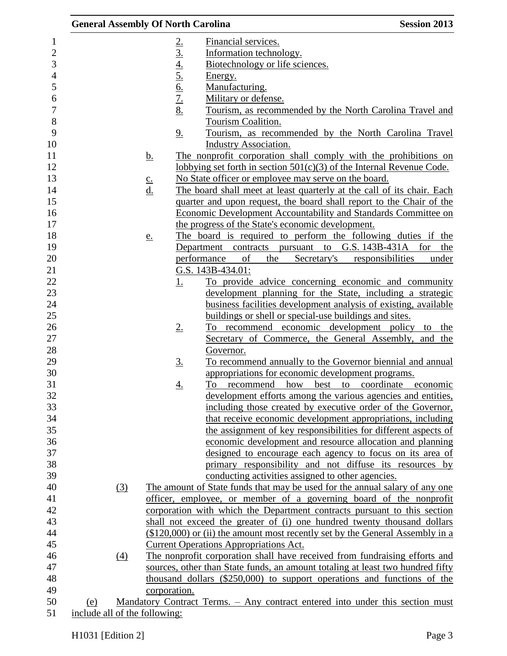| <b>General Assembly Of North Carolina</b> |     |                                                 |                                                |                                                                | <b>Session 2013</b>                                                                                     |
|-------------------------------------------|-----|-------------------------------------------------|------------------------------------------------|----------------------------------------------------------------|---------------------------------------------------------------------------------------------------------|
|                                           |     |                                                 |                                                | Financial services.                                            |                                                                                                         |
|                                           |     |                                                 |                                                | Information technology.                                        |                                                                                                         |
|                                           |     |                                                 |                                                | Biotechnology or life sciences.                                |                                                                                                         |
|                                           |     |                                                 | $\frac{2.}{3.4} \frac{4.}{5.6} \frac{6.}{7.8}$ | Energy.                                                        |                                                                                                         |
|                                           |     |                                                 |                                                | Manufacturing.                                                 |                                                                                                         |
|                                           |     |                                                 |                                                | Military or defense.                                           |                                                                                                         |
|                                           |     |                                                 |                                                |                                                                | Tourism, as recommended by the North Carolina Travel and                                                |
|                                           |     |                                                 |                                                | Tourism Coalition.                                             |                                                                                                         |
|                                           |     |                                                 | 9.                                             |                                                                | Tourism, as recommended by the North Carolina Travel                                                    |
|                                           |     |                                                 |                                                | <b>Industry Association.</b>                                   |                                                                                                         |
|                                           |     | <u>b.</u>                                       |                                                |                                                                | The nonprofit corporation shall comply with the prohibitions on                                         |
|                                           |     |                                                 |                                                |                                                                | lobbying set forth in section $501(c)(3)$ of the Internal Revenue Code.                                 |
|                                           |     |                                                 |                                                | No State officer or employee may serve on the board.           |                                                                                                         |
|                                           |     | $\underline{\mathbf{c}}$ .<br>$\underline{d}$ . |                                                |                                                                | The board shall meet at least quarterly at the call of its chair. Each                                  |
|                                           |     |                                                 |                                                |                                                                | quarter and upon request, the board shall report to the Chair of the                                    |
|                                           |     |                                                 |                                                |                                                                | <b>Economic Development Accountability and Standards Committee on</b>                                   |
|                                           |     |                                                 |                                                | the progress of the State's economic development.              |                                                                                                         |
|                                           |     |                                                 |                                                |                                                                | The board is required to perform the following duties if the                                            |
|                                           |     | e.                                              |                                                |                                                                | Department contracts pursuant to G.S. 143B-431A for                                                     |
|                                           |     |                                                 |                                                | performance<br>of<br>the                                       | the<br>Secretary's<br>responsibilities<br>under                                                         |
|                                           |     |                                                 |                                                | G.S. 143B-434.01:                                              |                                                                                                         |
|                                           |     |                                                 |                                                |                                                                | To provide advice concerning economic and community                                                     |
|                                           |     |                                                 | <u>1.</u>                                      |                                                                | development planning for the State, including a strategic                                               |
|                                           |     |                                                 |                                                |                                                                |                                                                                                         |
|                                           |     |                                                 |                                                |                                                                | business facilities development analysis of existing, available                                         |
|                                           |     |                                                 |                                                | buildings or shell or special-use buildings and sites.         |                                                                                                         |
|                                           |     |                                                 | $2_{\cdot}$                                    |                                                                | To recommend economic development policy to the<br>Secretary of Commerce, the General Assembly, and the |
|                                           |     |                                                 |                                                |                                                                |                                                                                                         |
|                                           |     |                                                 |                                                | Governor.                                                      |                                                                                                         |
|                                           |     |                                                 | <u>3.</u>                                      |                                                                | To recommend annually to the Governor biennial and annual                                               |
|                                           |     |                                                 |                                                | appropriations for economic development programs.<br>To<br>how | coordinate economic<br>best to                                                                          |
|                                           |     |                                                 | <u>4.</u>                                      | recommend                                                      | development efforts among the various agencies and entities,                                            |
|                                           |     |                                                 |                                                |                                                                | including those created by executive order of the Governor,                                             |
|                                           |     |                                                 |                                                |                                                                | that receive economic development appropriations, including                                             |
|                                           |     |                                                 |                                                |                                                                |                                                                                                         |
|                                           |     |                                                 |                                                |                                                                | the assignment of key responsibilities for different aspects of                                         |
|                                           |     |                                                 |                                                |                                                                | economic development and resource allocation and planning                                               |
|                                           |     |                                                 |                                                |                                                                | designed to encourage each agency to focus on its area of                                               |
|                                           |     |                                                 |                                                |                                                                | primary responsibility and not diffuse its resources by                                                 |
|                                           |     |                                                 |                                                | conducting activities assigned to other agencies.              |                                                                                                         |
|                                           | (3) |                                                 |                                                |                                                                | The amount of State funds that may be used for the annual salary of any one                             |
|                                           |     |                                                 |                                                |                                                                | officer, employee, or member of a governing board of the nonprofit                                      |
|                                           |     |                                                 |                                                |                                                                | corporation with which the Department contracts pursuant to this section                                |
|                                           |     |                                                 |                                                |                                                                | shall not exceed the greater of (i) one hundred twenty thousand dollars                                 |
|                                           |     |                                                 |                                                |                                                                | $($120,000)$ or (ii) the amount most recently set by the General Assembly in a                          |
|                                           |     |                                                 |                                                | <b>Current Operations Appropriations Act.</b>                  |                                                                                                         |
|                                           | (4) |                                                 |                                                |                                                                | The nonprofit corporation shall have received from fundraising efforts and                              |
|                                           |     |                                                 |                                                |                                                                | sources, other than State funds, an amount totaling at least two hundred fifty                          |
|                                           |     |                                                 |                                                |                                                                | thousand dollars (\$250,000) to support operations and functions of the                                 |
|                                           |     |                                                 | corporation.                                   |                                                                |                                                                                                         |
| (e)                                       |     |                                                 |                                                |                                                                | Mandatory Contract Terms. - Any contract entered into under this section must                           |
| include all of the following:             |     |                                                 |                                                |                                                                |                                                                                                         |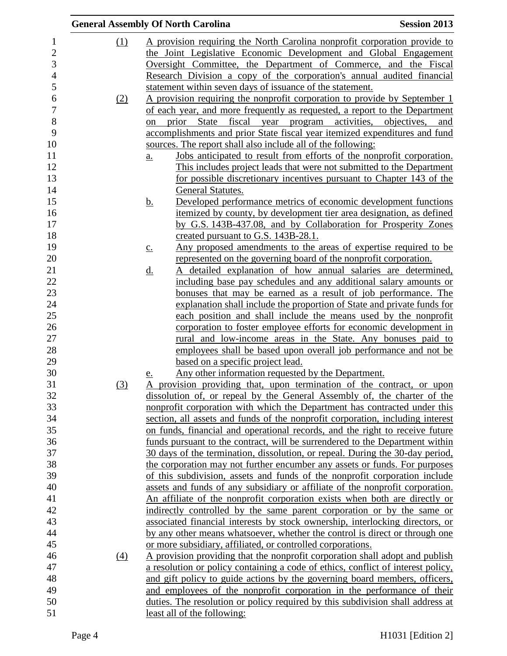|     | <b>General Assembly Of North Carolina</b>                                                                                                  | <b>Session 2013</b> |
|-----|--------------------------------------------------------------------------------------------------------------------------------------------|---------------------|
| (1) | A provision requiring the North Carolina nonprofit corporation provide to                                                                  |                     |
|     | the Joint Legislative Economic Development and Global Engagement                                                                           |                     |
|     | Oversight Committee, the Department of Commerce, and the Fiscal                                                                            |                     |
|     | Research Division a copy of the corporation's annual audited financial                                                                     |                     |
|     | statement within seven days of issuance of the statement.                                                                                  |                     |
| (2) | A provision requiring the nonprofit corporation to provide by September 1                                                                  |                     |
|     | of each year, and more frequently as requested, a report to the Department                                                                 |                     |
|     | prior State fiscal year program activities, objectives, and<br>on                                                                          |                     |
|     | accomplishments and prior State fiscal year itemized expenditures and fund                                                                 |                     |
|     | sources. The report shall also include all of the following:                                                                               |                     |
|     | Jobs anticipated to result from efforts of the nonprofit corporation.<br>$\underline{\mathbf{a}}$ .                                        |                     |
|     | This includes project leads that were not submitted to the Department                                                                      |                     |
|     | for possible discretionary incentives pursuant to Chapter 143 of the                                                                       |                     |
|     | General Statutes.                                                                                                                          |                     |
|     | Developed performance metrics of economic development functions<br><u>b.</u>                                                               |                     |
|     | itemized by county, by development tier area designation, as defined                                                                       |                     |
|     | by G.S. 143B-437.08, and by Collaboration for Prosperity Zones                                                                             |                     |
|     | created pursuant to G.S. 143B-28.1.                                                                                                        |                     |
|     | Any proposed amendments to the areas of expertise required to be<br>$\underline{c}$ .                                                      |                     |
|     | represented on the governing board of the nonprofit corporation.                                                                           |                     |
|     | A detailed explanation of how annual salaries are determined,<br>$\underline{d}$ .                                                         |                     |
|     | including base pay schedules and any additional salary amounts or<br>bonuses that may be earned as a result of job performance. The        |                     |
|     | explanation shall include the proportion of State and private funds for                                                                    |                     |
|     | each position and shall include the means used by the nonprofit                                                                            |                     |
|     | corporation to foster employee efforts for economic development in                                                                         |                     |
|     | <u>rural and low-income areas in the State. Any bonuses paid to</u>                                                                        |                     |
|     | employees shall be based upon overall job performance and not be                                                                           |                     |
|     | based on a specific project lead.                                                                                                          |                     |
|     | Any other information requested by the Department.<br><u>e.</u>                                                                            |                     |
| (3) | A provision providing that, upon termination of the contract, or upon                                                                      |                     |
|     | dissolution of, or repeal by the General Assembly of, the charter of the                                                                   |                     |
|     | nonprofit corporation with which the Department has contracted under this                                                                  |                     |
|     | section, all assets and funds of the nonprofit corporation, including interest                                                             |                     |
|     | on funds, financial and operational records, and the right to receive future                                                               |                     |
|     | funds pursuant to the contract, will be surrendered to the Department within                                                               |                     |
|     | 30 days of the termination, dissolution, or repeal. During the 30-day period,                                                              |                     |
|     | the corporation may not further encumber any assets or funds. For purposes                                                                 |                     |
|     | of this subdivision, assets and funds of the nonprofit corporation include                                                                 |                     |
|     | assets and funds of any subsidiary or affiliate of the nonprofit corporation.                                                              |                     |
|     | An affiliate of the nonprofit corporation exists when both are directly or                                                                 |                     |
|     | indirectly controlled by the same parent corporation or by the same or                                                                     |                     |
|     | associated financial interests by stock ownership, interlocking directors, or                                                              |                     |
|     | by any other means whatsoever, whether the control is direct or through one<br>or more subsidiary, affiliated, or controlled corporations. |                     |
|     | A provision providing that the nonprofit corporation shall adopt and publish                                                               |                     |
| (4) | a resolution or policy containing a code of ethics, conflict of interest policy,                                                           |                     |
|     | and gift policy to guide actions by the governing board members, officers,                                                                 |                     |
|     | and employees of the nonprofit corporation in the performance of their                                                                     |                     |
|     | duties. The resolution or policy required by this subdivision shall address at                                                             |                     |
|     | least all of the following:                                                                                                                |                     |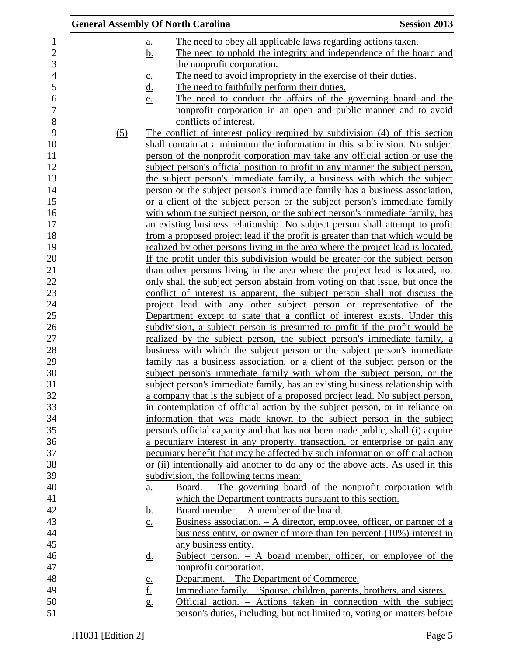|     |                            | <b>General Assembly Of North Carolina</b>                                                                          | <b>Session 2013</b> |
|-----|----------------------------|--------------------------------------------------------------------------------------------------------------------|---------------------|
|     | a.                         | The need to obey all applicable laws regarding actions taken.                                                      |                     |
|     | <u>b.</u>                  | The need to uphold the integrity and independence of the board and                                                 |                     |
|     |                            | the nonprofit corporation.                                                                                         |                     |
|     | $\underline{\mathbf{C}}$ . | The need to avoid impropriety in the exercise of their duties.                                                     |                     |
|     |                            | The need to faithfully perform their duties.                                                                       |                     |
|     | $\frac{d}{e}$              | The need to conduct the affairs of the governing board and the                                                     |                     |
|     |                            | nonprofit corporation in an open and public manner and to avoid                                                    |                     |
|     |                            | conflicts of interest.                                                                                             |                     |
| (5) |                            | The conflict of interest policy required by subdivision (4) of this section                                        |                     |
|     |                            | shall contain at a minimum the information in this subdivision. No subject                                         |                     |
|     |                            | person of the nonprofit corporation may take any official action or use the                                        |                     |
|     |                            | subject person's official position to profit in any manner the subject person,                                     |                     |
|     |                            | the subject person's immediate family, a business with which the subject                                           |                     |
|     |                            | person or the subject person's immediate family has a business association,                                        |                     |
|     |                            | or a client of the subject person or the subject person's immediate family                                         |                     |
|     |                            | with whom the subject person, or the subject person's immediate family, has                                        |                     |
|     |                            | an existing business relationship. No subject person shall attempt to profit                                       |                     |
|     |                            | from a proposed project lead if the profit is greater than that which would be                                     |                     |
|     |                            | realized by other persons living in the area where the project lead is located.                                    |                     |
|     |                            | If the profit under this subdivision would be greater for the subject person                                       |                     |
|     |                            | than other persons living in the area where the project lead is located, not                                       |                     |
|     |                            | only shall the subject person abstain from voting on that issue, but once the                                      |                     |
|     |                            | conflict of interest is apparent, the subject person shall not discuss the                                         |                     |
|     |                            | project lead with any other subject person or representative of the                                                |                     |
|     |                            | Department except to state that a conflict of interest exists. Under this                                          |                     |
|     |                            | subdivision, a subject person is presumed to profit if the profit would be                                         |                     |
|     |                            | realized by the subject person, the subject person's immediate family, a                                           |                     |
|     |                            | business with which the subject person or the subject person's immediate                                           |                     |
|     |                            | family has a business association, or a client of the subject person or the                                        |                     |
|     |                            | subject person's immediate family with whom the subject person, or the                                             |                     |
|     |                            | subject person's immediate family, has an existing business relationship with                                      |                     |
|     |                            | a company that is the subject of a proposed project lead. No subject person,                                       |                     |
|     |                            | in contemplation of official action by the subject person, or in reliance on                                       |                     |
|     |                            | information that was made known to the subject person in the subject                                               |                     |
|     |                            | person's official capacity and that has not been made public, shall (i) acquire                                    |                     |
|     |                            | a pecuniary interest in any property, transaction, or enterprise or gain any                                       |                     |
|     |                            | pecuniary benefit that may be affected by such information or official action                                      |                     |
|     |                            | or (ii) intentionally aid another to do any of the above acts. As used in this                                     |                     |
|     |                            | subdivision, the following terms mean:                                                                             |                     |
|     | <u>a.</u>                  | Board. – The governing board of the nonprofit corporation with                                                     |                     |
|     |                            | which the Department contracts pursuant to this section.                                                           |                     |
|     | <u>b.</u>                  | Board member. - A member of the board.<br>Business association. $- A$ director, employee, officer, or partner of a |                     |
|     | $\underline{c}$ .          | business entity, or owner of more than ten percent (10%) interest in                                               |                     |
|     |                            | any business entity.                                                                                               |                     |
|     | <u>d.</u>                  | Subject person. $-$ A board member, officer, or employee of the                                                    |                     |
|     |                            | nonprofit corporation.                                                                                             |                     |
|     |                            | Department. – The Department of Commerce.                                                                          |                     |
|     | $\frac{e}{f}$              | Immediate family. – Spouse, children, parents, brothers, and sisters.                                              |                     |
|     | g.                         | Official action. – Actions taken in connection with the subject                                                    |                     |
|     |                            | person's duties, including, but not limited to, voting on matters before                                           |                     |
|     |                            |                                                                                                                    |                     |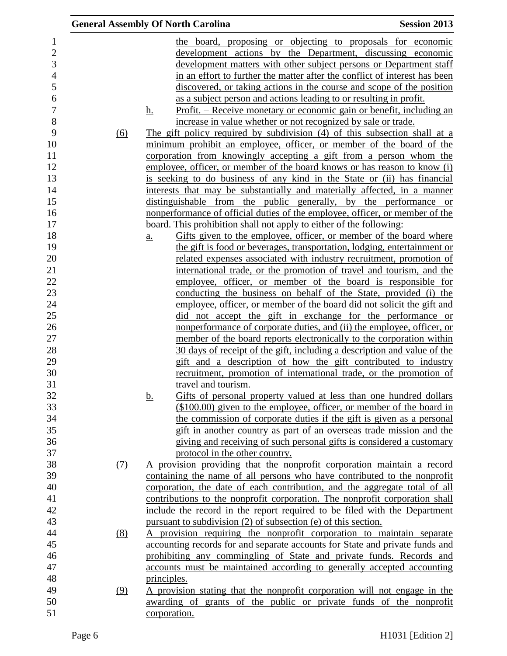|                                |     | <b>General Assembly Of North Carolina</b>                                                                                                       | <b>Session 2013</b> |
|--------------------------------|-----|-------------------------------------------------------------------------------------------------------------------------------------------------|---------------------|
| $\mathbf{1}$<br>$\overline{c}$ |     | the board, proposing or objecting to proposals for economic<br>development actions by the Department, discussing economic                       |                     |
| 3                              |     | development matters with other subject persons or Department staff                                                                              |                     |
| $\overline{\mathcal{L}}$       |     | in an effort to further the matter after the conflict of interest has been                                                                      |                     |
| 5                              |     | discovered, or taking actions in the course and scope of the position                                                                           |                     |
| 6                              |     | as a subject person and actions leading to or resulting in profit.                                                                              |                     |
| $\overline{7}$                 |     | <u> Profit. – Receive monetary or economic gain or benefit, including an</u><br>h.                                                              |                     |
| 8                              |     | increase in value whether or not recognized by sale or trade.                                                                                   |                     |
| 9                              | (6) | The gift policy required by subdivision (4) of this subsection shall at a                                                                       |                     |
| 10                             |     | minimum prohibit an employee, officer, or member of the board of the                                                                            |                     |
| 11                             |     | corporation from knowingly accepting a gift from a person whom the                                                                              |                     |
| 12                             |     | employee, officer, or member of the board knows or has reason to know (i)                                                                       |                     |
| 13                             |     | is seeking to do business of any kind in the State or (ii) has financial                                                                        |                     |
| 14                             |     | interests that may be substantially and materially affected, in a manner                                                                        |                     |
| 15                             |     | distinguishable from the public generally, by the performance or                                                                                |                     |
| 16                             |     | nonperformance of official duties of the employee, officer, or member of the                                                                    |                     |
| 17                             |     | board. This prohibition shall not apply to either of the following:                                                                             |                     |
| 18                             |     | Gifts given to the employee, officer, or member of the board where<br>$\underline{\mathbf{a}}$ .                                                |                     |
| 19                             |     | the gift is food or beverages, transportation, lodging, entertainment or                                                                        |                     |
| 20                             |     | related expenses associated with industry recruitment, promotion of                                                                             |                     |
| 21                             |     | international trade, or the promotion of travel and tourism, and the                                                                            |                     |
| 22<br>23                       |     | employee, officer, or member of the board is responsible for                                                                                    |                     |
| 24                             |     | conducting the business on behalf of the State, provided (i) the<br>employee, officer, or member of the board did not solicit the gift and      |                     |
| 25                             |     | did not accept the gift in exchange for the performance or                                                                                      |                     |
| 26                             |     | nonperformance of corporate duties, and (ii) the employee, officer, or                                                                          |                     |
| 27                             |     | member of the board reports electronically to the corporation within                                                                            |                     |
| 28                             |     | 30 days of receipt of the gift, including a description and value of the                                                                        |                     |
| 29                             |     | gift and a description of how the gift contributed to industry                                                                                  |                     |
| 30                             |     | recruitment, promotion of international trade, or the promotion of                                                                              |                     |
| 31                             |     | travel and tourism.                                                                                                                             |                     |
| 32                             |     | <u>b.</u><br>Gifts of personal property valued at less than one hundred dollars                                                                 |                     |
| 33                             |     | $($100.00)$ given to the employee, officer, or member of the board in                                                                           |                     |
| 34                             |     | the commission of corporate duties if the gift is given as a personal                                                                           |                     |
| 35                             |     | gift in another country as part of an overseas trade mission and the                                                                            |                     |
| 36                             |     | giving and receiving of such personal gifts is considered a customary                                                                           |                     |
| 37                             |     | protocol in the other country.                                                                                                                  |                     |
| 38                             | (7) | A provision providing that the nonprofit corporation maintain a record                                                                          |                     |
| 39                             |     | containing the name of all persons who have contributed to the nonprofit                                                                        |                     |
| 40                             |     | corporation, the date of each contribution, and the aggregate total of all                                                                      |                     |
| 41                             |     | contributions to the nonprofit corporation. The nonprofit corporation shall                                                                     |                     |
| 42                             |     | include the record in the report required to be filed with the Department                                                                       |                     |
| 43                             |     | pursuant to subdivision (2) of subsection (e) of this section.                                                                                  |                     |
| 44                             | (8) | A provision requiring the nonprofit corporation to maintain separate                                                                            |                     |
| 45                             |     | accounting records for and separate accounts for State and private funds and                                                                    |                     |
| 46                             |     | prohibiting any commingling of State and private funds. Records and                                                                             |                     |
| 47                             |     | accounts must be maintained according to generally accepted accounting                                                                          |                     |
| 48<br>49                       |     | principles.                                                                                                                                     |                     |
| 50                             | (9) | A provision stating that the nonprofit corporation will not engage in the<br>awarding of grants of the public or private funds of the nonprofit |                     |
| 51                             |     | corporation.                                                                                                                                    |                     |
|                                |     |                                                                                                                                                 |                     |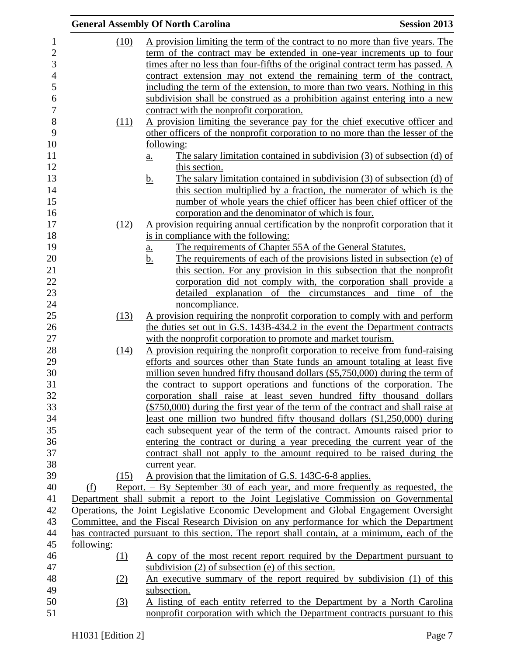|                |            | <b>General Assembly Of North Carolina</b>                                                                                         | <b>Session 2013</b> |
|----------------|------------|-----------------------------------------------------------------------------------------------------------------------------------|---------------------|
| $\mathbf{1}$   | (10)       | A provision limiting the term of the contract to no more than five years. The                                                     |                     |
| $\mathbf{2}$   |            | term of the contract may be extended in one-year increments up to four                                                            |                     |
| 3              |            | times after no less than four-fifths of the original contract term has passed. A                                                  |                     |
| $\overline{4}$ |            | contract extension may not extend the remaining term of the contract,                                                             |                     |
| 5              |            | including the term of the extension, to more than two years. Nothing in this                                                      |                     |
| 6              |            | subdivision shall be construed as a prohibition against entering into a new                                                       |                     |
| $\overline{7}$ |            | contract with the nonprofit corporation.                                                                                          |                     |
| 8              | (11)       | A provision limiting the severance pay for the chief executive officer and                                                        |                     |
| 9              |            | other officers of the nonprofit corporation to no more than the lesser of the                                                     |                     |
| 10             |            | following:                                                                                                                        |                     |
| 11             |            | The salary limitation contained in subdivision $(3)$ of subsection $(d)$ of<br>a.                                                 |                     |
| 12             |            | this section.                                                                                                                     |                     |
| 13             |            | The salary limitation contained in subdivision $(3)$ of subsection $(d)$ of<br><u>b.</u>                                          |                     |
| 14             |            | this section multiplied by a fraction, the numerator of which is the                                                              |                     |
| 15             |            | number of whole years the chief officer has been chief officer of the                                                             |                     |
| 16             |            | corporation and the denominator of which is four.                                                                                 |                     |
| 17             | (12)       | A provision requiring annual certification by the nonprofit corporation that it                                                   |                     |
| 18             |            | is in compliance with the following:                                                                                              |                     |
| 19             |            | The requirements of Chapter 55A of the General Statutes.<br><u>a.</u>                                                             |                     |
| 20<br>21       |            | The requirements of each of the provisions listed in subsection (e) of<br>b.                                                      |                     |
| 22             |            | this section. For any provision in this subsection that the nonprofit                                                             |                     |
| 23             |            | corporation did not comply with, the corporation shall provide a<br>detailed explanation of the circumstances and time of the     |                     |
|                |            | noncompliance.                                                                                                                    |                     |
| 24<br>25       | (13)       | A provision requiring the nonprofit corporation to comply with and perform                                                        |                     |
| 26             |            | the duties set out in G.S. 143B-434.2 in the event the Department contracts                                                       |                     |
| 27             |            | with the nonprofit corporation to promote and market tourism.                                                                     |                     |
| 28             | (14)       | A provision requiring the nonprofit corporation to receive from fund-raising                                                      |                     |
| 29             |            | efforts and sources other than State funds an amount totaling at least five                                                       |                     |
| 30             |            | million seven hundred fifty thousand dollars (\$5,750,000) during the term of                                                     |                     |
|                |            | the contract to support operations and functions of the corporation. The                                                          |                     |
|                |            | corporation shall raise at least seven hundred fifty thousand dollars                                                             |                     |
| 33<br>34       |            | (\$750,000) during the first year of the term of the contract and shall raise at                                                  |                     |
|                |            | least one million two hundred fifty thousand dollars (\$1,250,000) during                                                         |                     |
| 35             |            | each subsequent year of the term of the contract. Amounts raised prior to                                                         |                     |
| 36             |            | entering the contract or during a year preceding the current year of the                                                          |                     |
| 37             |            | contract shall not apply to the amount required to be raised during the                                                           |                     |
| 38<br>39       |            | current year.                                                                                                                     |                     |
|                | (15)       | A provision that the limitation of G.S. 143C-6-8 applies.                                                                         |                     |
|                | (f)        | Report. – By September 30 of each year, and more frequently as requested, the                                                     |                     |
| 41<br>42       |            | Department shall submit a report to the Joint Legislative Commission on Governmental                                              |                     |
|                |            | Operations, the Joint Legislative Economic Development and Global Engagement Oversight                                            |                     |
| 43             |            | Committee, and the Fiscal Research Division on any performance for which the Department                                           |                     |
| 44<br>45       |            | has contracted pursuant to this section. The report shall contain, at a minimum, each of the                                      |                     |
|                | following: |                                                                                                                                   |                     |
| 46             | (1)        | A copy of the most recent report required by the Department pursuant to<br>subdivision $(2)$ of subsection $(e)$ of this section. |                     |
| 47<br>48       |            | An executive summary of the report required by subdivision (1) of this                                                            |                     |
|                | (2)        | subsection.                                                                                                                       |                     |
| 49             | (3)        | A listing of each entity referred to the Department by a North Carolina                                                           |                     |
| 50<br>51       |            | nonprofit corporation with which the Department contracts pursuant to this                                                        |                     |
|                |            |                                                                                                                                   |                     |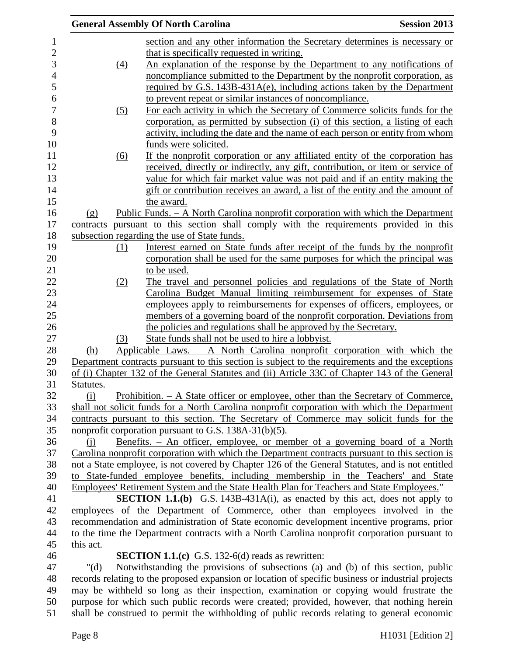|           |     | <b>General Assembly Of North Carolina</b>                                                          | <b>Session 2013</b> |
|-----------|-----|----------------------------------------------------------------------------------------------------|---------------------|
|           |     | section and any other information the Secretary determines is necessary or                         |                     |
|           |     | that is specifically requested in writing.                                                         |                     |
|           | (4) | An explanation of the response by the Department to any notifications of                           |                     |
|           |     | noncompliance submitted to the Department by the nonprofit corporation, as                         |                     |
|           |     | required by G.S. 143B-431A(e), including actions taken by the Department                           |                     |
|           |     | to prevent repeat or similar instances of noncompliance.                                           |                     |
|           |     |                                                                                                    |                     |
|           | (5) | For each activity in which the Secretary of Commerce solicits funds for the                        |                     |
|           |     | corporation, as permitted by subsection (i) of this section, a listing of each                     |                     |
|           |     | activity, including the date and the name of each person or entity from whom                       |                     |
|           |     | funds were solicited.                                                                              |                     |
|           | (6) | If the nonprofit corporation or any affiliated entity of the corporation has                       |                     |
|           |     | received, directly or indirectly, any gift, contribution, or item or service of                    |                     |
|           |     | value for which fair market value was not paid and if an entity making the                         |                     |
|           |     | gift or contribution receives an award, a list of the entity and the amount of                     |                     |
|           |     | the award.                                                                                         |                     |
| (g)       |     | <u> Public Funds. – A North Carolina nonprofit corporation with which the Department</u>           |                     |
| contracts |     | pursuant to this section shall comply with the requirements provided in this                       |                     |
|           |     | subsection regarding the use of State funds.                                                       |                     |
|           | (1) | Interest earned on State funds after receipt of the funds by the nonprofit                         |                     |
|           |     | corporation shall be used for the same purposes for which the principal was                        |                     |
|           |     | to be used.                                                                                        |                     |
|           | (2) | The travel and personnel policies and regulations of the State of North                            |                     |
|           |     | Carolina Budget Manual limiting reimbursement for expenses of State                                |                     |
|           |     | employees apply to reimbursements for expenses of officers, employees, or                          |                     |
|           |     | members of a governing board of the nonprofit corporation. Deviations from                         |                     |
|           |     | the policies and regulations shall be approved by the Secretary.                                   |                     |
|           | (3) | State funds shall not be used to hire a lobbyist.                                                  |                     |
| (h)       |     | Applicable Laws. - A North Carolina nonprofit corporation with which the                           |                     |
|           |     | Department contracts pursuant to this section is subject to the requirements and the exceptions    |                     |
|           |     | of (i) Chapter 132 of the General Statutes and (ii) Article 33C of Chapter 143 of the General      |                     |
| Statutes. |     |                                                                                                    |                     |
| (i)       |     | <u> Prohibition. – A State officer or employee, other than the Secretary of Commerce,</u>          |                     |
|           |     | shall not solicit funds for a North Carolina nonprofit corporation with which the Department       |                     |
|           |     | contracts pursuant to this section. The Secretary of Commerce may solicit funds for the            |                     |
|           |     | nonprofit corporation pursuant to G.S. $138A-31(b)(5)$ .                                           |                     |
| (i)       |     | Benefits. - An officer, employee, or member of a governing board of a North                        |                     |
|           |     | Carolina nonprofit corporation with which the Department contracts pursuant to this section is     |                     |
|           |     | not a State employee, is not covered by Chapter 126 of the General Statutes, and is not entitled   |                     |
|           |     | to State-funded employee benefits, including membership in the Teachers' and State                 |                     |
|           |     | Employees' Retirement System and the State Health Plan for Teachers and State Employees."          |                     |
|           |     | <b>SECTION 1.1.(b)</b> G.S. 143B-431A(i), as enacted by this act, does not apply to                |                     |
|           |     | employees of the Department of Commerce, other than employees involved in the                      |                     |
|           |     | recommendation and administration of State economic development incentive programs, prior          |                     |
|           |     |                                                                                                    |                     |
|           |     | to the time the Department contracts with a North Carolina nonprofit corporation pursuant to       |                     |
| this act. |     |                                                                                                    |                     |
|           |     | <b>SECTION 1.1.(c)</b> G.S. 132-6(d) reads as rewritten:                                           |                     |
| " $(d)$   |     | Notwithstanding the provisions of subsections (a) and (b) of this section, public                  |                     |
|           |     | records relating to the proposed expansion or location of specific business or industrial projects |                     |
|           |     | may be withheld so long as their inspection, examination or copying would frustrate the            |                     |
|           |     | purpose for which such public records were created; provided, however, that nothing herein         |                     |
|           |     | shall be construed to permit the withholding of public records relating to general economic        |                     |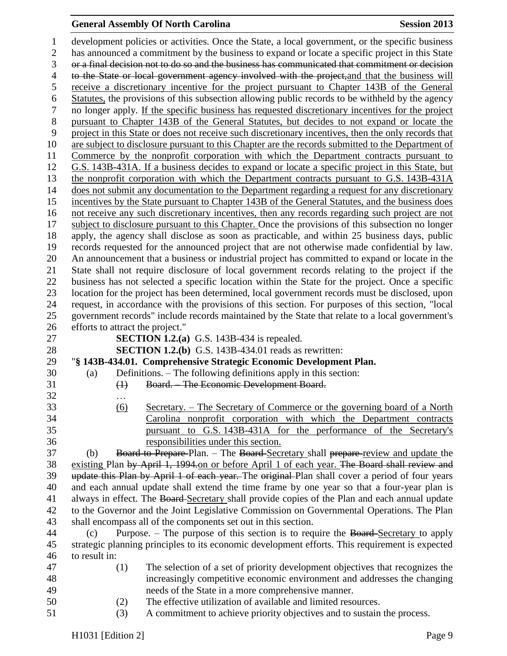# **General Assembly Of North Carolina Session 2013**

| $\mathbf{1}$   |                                  | development policies or activities. Once the State, a local government, or the specific business                                         |
|----------------|----------------------------------|------------------------------------------------------------------------------------------------------------------------------------------|
| $\mathfrak{2}$ |                                  | has announced a commitment by the business to expand or locate a specific project in this State                                          |
| 3              |                                  | or a final decision not to do so and the business has communicated that commitment or decision                                           |
| $\overline{4}$ |                                  | to the State or local government agency involved with the project, and that the business will                                            |
| 5              |                                  | receive a discretionary incentive for the project pursuant to Chapter 143B of the General                                                |
| 6              |                                  | Statutes, the provisions of this subsection allowing public records to be withheld by the agency                                         |
| $\tau$         |                                  | no longer apply. If the specific business has requested discretionary incentives for the project                                         |
| $8\,$          |                                  | pursuant to Chapter 143B of the General Statutes, but decides to not expand or locate the                                                |
| 9              |                                  | project in this State or does not receive such discretionary incentives, then the only records that                                      |
| 10             |                                  | are subject to disclosure pursuant to this Chapter are the records submitted to the Department of                                        |
| 11             |                                  | Commerce by the nonprofit corporation with which the Department contracts pursuant to                                                    |
| 12             |                                  | G.S. 143B-431A. If a business decides to expand or locate a specific project in this State, but                                          |
| 13             |                                  | the nonprofit corporation with which the Department contracts pursuant to G.S. 143B-431A                                                 |
| 14             |                                  | does not submit any documentation to the Department regarding a request for any discretionary                                            |
| 15             |                                  | incentives by the State pursuant to Chapter 143B of the General Statutes, and the business does                                          |
| 16             |                                  | not receive any such discretionary incentives, then any records regarding such project are not                                           |
| 17             |                                  | subject to disclosure pursuant to this Chapter. Once the provisions of this subsection no longer                                         |
| 18             |                                  | apply, the agency shall disclose as soon as practicable, and within 25 business days, public                                             |
| 19             |                                  | records requested for the announced project that are not otherwise made confidential by law.                                             |
| 20             |                                  | An announcement that a business or industrial project has committed to expand or locate in the                                           |
| 21             |                                  | State shall not require disclosure of local government records relating to the project if the                                            |
| 22             |                                  | business has not selected a specific location within the State for the project. Once a specific                                          |
| 23             |                                  | location for the project has been determined, local government records must be disclosed, upon                                           |
| 24             |                                  | request, in accordance with the provisions of this section. For purposes of this section, "local                                         |
| 25             |                                  | government records" include records maintained by the State that relate to a local government's                                          |
|                |                                  |                                                                                                                                          |
| 26             | efforts to attract the project." |                                                                                                                                          |
| 27             |                                  | <b>SECTION 1.2.(a)</b> G.S. 143B-434 is repealed.                                                                                        |
| 28             |                                  | <b>SECTION 1.2.(b)</b> G.S. 143B-434.01 reads as rewritten:                                                                              |
| 29             |                                  | "§ 143B-434.01. Comprehensive Strategic Economic Development Plan.                                                                       |
| 30             | (a)                              | Definitions. – The following definitions apply in this section:                                                                          |
| 31             | $\bigoplus$                      | Board. - The Economic Development Board.                                                                                                 |
| 32             |                                  |                                                                                                                                          |
| 33             | (6)                              | Secretary. – The Secretary of Commerce or the governing board of a North                                                                 |
| 34             |                                  | Carolina nonprofit corporation with which the Department contracts                                                                       |
| 35             |                                  | G.S. 143B-431A for the performance of the Secretary's<br>pursuant to                                                                     |
| 36             |                                  | responsibilities under this section.                                                                                                     |
| 37             | (b)                              | Board to Prepare-Plan. - The Board-Secretary shall prepare-review and update the                                                         |
| 38             |                                  | existing Plan by April 1, 1994 on or before April 1 of each year. The Board shall review and                                             |
| 39             |                                  | update this Plan by April 1 of each year. The original Plan shall cover a period of four years                                           |
| 40             |                                  | and each annual update shall extend the time frame by one year so that a four-year plan is                                               |
| 41             |                                  | always in effect. The Board Secretary shall provide copies of the Plan and each annual update                                            |
| 42             |                                  | to the Governor and the Joint Legislative Commission on Governmental Operations. The Plan                                                |
| 43             |                                  | shall encompass all of the components set out in this section.                                                                           |
| 44             | (c)                              | Purpose. – The purpose of this section is to require the Board-Secretary to apply                                                        |
| 45             |                                  | strategic planning principles to its economic development efforts. This requirement is expected                                          |
| 46             | to result in:                    |                                                                                                                                          |
| 47             | (1)                              | The selection of a set of priority development objectives that recognizes the                                                            |
| 48             |                                  | increasingly competitive economic environment and addresses the changing                                                                 |
| 49             |                                  | needs of the State in a more comprehensive manner.                                                                                       |
| 50<br>51       | (2)<br>(3)                       | The effective utilization of available and limited resources.<br>A commitment to achieve priority objectives and to sustain the process. |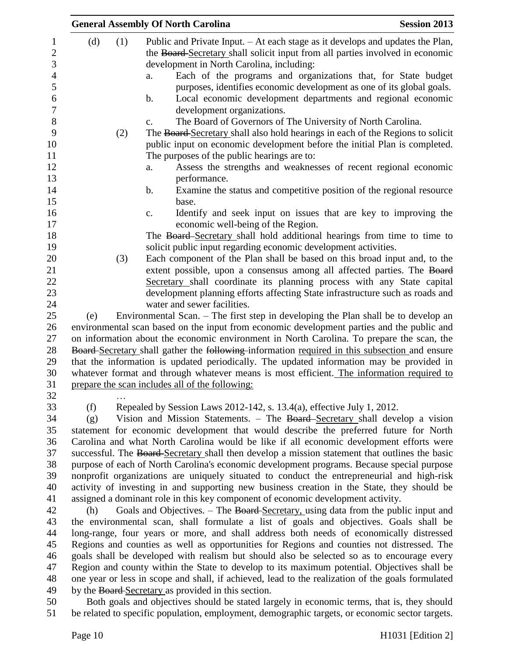|     |     | <b>General Assembly Of North Carolina</b>                                                         | <b>Session 2013</b> |
|-----|-----|---------------------------------------------------------------------------------------------------|---------------------|
| (d) | (1) | Public and Private Input. – At each stage as it develops and updates the Plan,                    |                     |
|     |     | the Board-Secretary shall solicit input from all parties involved in economic                     |                     |
|     |     | development in North Carolina, including:                                                         |                     |
|     |     | Each of the programs and organizations that, for State budget<br>a.                               |                     |
|     |     | purposes, identifies economic development as one of its global goals.                             |                     |
|     |     | Local economic development departments and regional economic<br>$\mathbf b$ .                     |                     |
|     |     | development organizations.                                                                        |                     |
|     |     | The Board of Governors of The University of North Carolina.                                       |                     |
|     |     | c.                                                                                                |                     |
|     | (2) | The Board-Secretary shall also hold hearings in each of the Regions to solicit                    |                     |
|     |     | public input on economic development before the initial Plan is completed.                        |                     |
|     |     | The purposes of the public hearings are to:                                                       |                     |
|     |     | Assess the strengths and weaknesses of recent regional economic<br>a.                             |                     |
|     |     | performance.                                                                                      |                     |
|     |     | Examine the status and competitive position of the regional resource<br>$\mathbf b$ .             |                     |
|     |     | base.                                                                                             |                     |
|     |     | Identify and seek input on issues that are key to improving the<br>c.                             |                     |
|     |     | economic well-being of the Region.                                                                |                     |
|     |     | The Board-Secretary shall hold additional hearings from time to time to                           |                     |
|     |     | solicit public input regarding economic development activities.                                   |                     |
|     | (3) | Each component of the Plan shall be based on this broad input and, to the                         |                     |
|     |     | extent possible, upon a consensus among all affected parties. The Board                           |                     |
|     |     | Secretary shall coordinate its planning process with any State capital                            |                     |
|     |     | development planning efforts affecting State infrastructure such as roads and                     |                     |
|     |     | water and sewer facilities.                                                                       |                     |
| (e) |     | Environmental Scan. – The first step in developing the Plan shall be to develop an                |                     |
|     |     | environmental scan based on the input from economic development parties and the public and        |                     |
|     |     | on information about the economic environment in North Carolina. To prepare the scan, the         |                     |
|     |     | Board-Secretary shall gather the following-information required in this subsection and ensure     |                     |
|     |     | that the information is updated periodically. The updated information may be provided in          |                     |
|     |     | whatever format and through whatever means is most efficient. The information required to         |                     |
|     |     | prepare the scan includes all of the following:                                                   |                     |
|     |     |                                                                                                   |                     |
| (f) |     | Repealed by Session Laws 2012-142, s. $13.4(a)$ , effective July 1, 2012.                         |                     |
| (g) |     | Vision and Mission Statements. – The Board-Secretary shall develop a vision                       |                     |
|     |     | statement for economic development that would describe the preferred future for North             |                     |
|     |     | Carolina and what North Carolina would be like if all economic development efforts were           |                     |
|     |     | successful. The Board Secretary shall then develop a mission statement that outlines the basic    |                     |
|     |     | purpose of each of North Carolina's economic development programs. Because special purpose        |                     |
|     |     | nonprofit organizations are uniquely situated to conduct the entrepreneurial and high-risk        |                     |
|     |     | activity of investing in and supporting new business creation in the State, they should be        |                     |
|     |     |                                                                                                   |                     |
|     |     | assigned a dominant role in this key component of economic development activity.                  |                     |
| (h) |     | Goals and Objectives. - The Board-Secretary, using data from the public input and                 |                     |
|     |     | the environmental scan, shall formulate a list of goals and objectives. Goals shall be            |                     |
|     |     | long-range, four years or more, and shall address both needs of economically distressed           |                     |
|     |     | Regions and counties as well as opportunities for Regions and counties not distressed. The        |                     |
|     |     | goals shall be developed with realism but should also be selected so as to encourage every        |                     |
|     |     | Region and county within the State to develop to its maximum potential. Objectives shall be       |                     |
|     |     | one year or less in scope and shall, if achieved, lead to the realization of the goals formulated |                     |
|     |     | by the Board-Secretary as provided in this section.                                               |                     |
|     |     | Both gools and objectives should be stated largely in economic terms, that is they should         |                     |

 Both goals and objectives should be stated largely in economic terms, that is, they should be related to specific population, employment, demographic targets, or economic sector targets.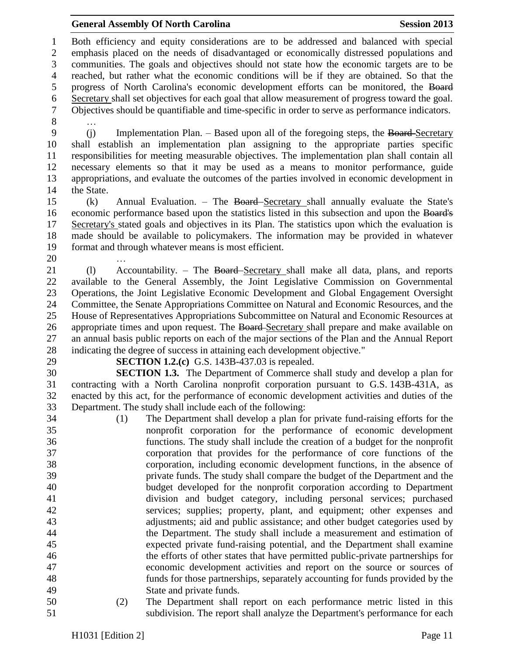Both efficiency and equity considerations are to be addressed and balanced with special emphasis placed on the needs of disadvantaged or economically distressed populations and communities. The goals and objectives should not state how the economic targets are to be reached, but rather what the economic conditions will be if they are obtained. So that the progress of North Carolina's economic development efforts can be monitored, the Board Secretary shall set objectives for each goal that allow measurement of progress toward the goal. Objectives should be quantifiable and time-specific in order to serve as performance indicators. … (j) Implementation Plan. – Based upon all of the foregoing steps, the Board Secretary shall establish an implementation plan assigning to the appropriate parties specific responsibilities for meeting measurable objectives. The implementation plan shall contain all necessary elements so that it may be used as a means to monitor performance, guide appropriations, and evaluate the outcomes of the parties involved in economic development in the State. (k) Annual Evaluation. – The Board Secretary shall annually evaluate the State's economic performance based upon the statistics listed in this subsection and upon the Board's Secretary's stated goals and objectives in its Plan. The statistics upon which the evaluation is made should be available to policymakers. The information may be provided in whatever format and through whatever means is most efficient. … (l) Accountability. – The Board Secretary shall make all data, plans, and reports available to the General Assembly, the Joint Legislative Commission on Governmental Operations, the Joint Legislative Economic Development and Global Engagement Oversight Committee, the Senate Appropriations Committee on Natural and Economic Resources, and the House of Representatives Appropriations Subcommittee on Natural and Economic Resources at 26 appropriate times and upon request. The Board-Secretary shall prepare and make available on an annual basis public reports on each of the major sections of the Plan and the Annual Report indicating the degree of success in attaining each development objective." **SECTION 1.2.(c)** G.S. 143B-437.03 is repealed. **SECTION 1.3.** The Department of Commerce shall study and develop a plan for contracting with a North Carolina nonprofit corporation pursuant to G.S. 143B-431A, as enacted by this act, for the performance of economic development activities and duties of the Department. The study shall include each of the following: (1) The Department shall develop a plan for private fund-raising efforts for the nonprofit corporation for the performance of economic development functions. The study shall include the creation of a budget for the nonprofit corporation that provides for the performance of core functions of the corporation, including economic development functions, in the absence of private funds. The study shall compare the budget of the Department and the budget developed for the nonprofit corporation according to Department division and budget category, including personal services; purchased services; supplies; property, plant, and equipment; other expenses and adjustments; aid and public assistance; and other budget categories used by the Department. The study shall include a measurement and estimation of expected private fund-raising potential, and the Department shall examine the efforts of other states that have permitted public-private partnerships for economic development activities and report on the source or sources of funds for those partnerships, separately accounting for funds provided by the State and private funds. (2) The Department shall report on each performance metric listed in this subdivision. The report shall analyze the Department's performance for each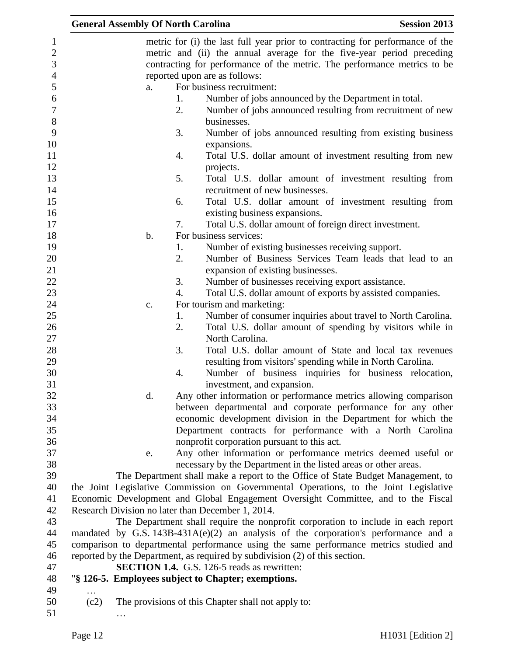|          | <b>General Assembly Of North Carolina</b> |    | <b>Session 2013</b>                                                                                                         |
|----------|-------------------------------------------|----|-----------------------------------------------------------------------------------------------------------------------------|
|          |                                           |    | metric for (i) the last full year prior to contracting for performance of the                                               |
|          |                                           |    | metric and (ii) the annual average for the five-year period preceding                                                       |
|          |                                           |    | contracting for performance of the metric. The performance metrics to be                                                    |
|          |                                           |    | reported upon are as follows:                                                                                               |
|          | a.                                        |    | For business recruitment:                                                                                                   |
|          |                                           | 1. | Number of jobs announced by the Department in total.                                                                        |
|          |                                           | 2. | Number of jobs announced resulting from recruitment of new                                                                  |
|          |                                           |    | businesses.                                                                                                                 |
|          |                                           | 3. | Number of jobs announced resulting from existing business                                                                   |
|          |                                           |    | expansions.                                                                                                                 |
|          |                                           | 4. | Total U.S. dollar amount of investment resulting from new                                                                   |
|          |                                           |    | projects.                                                                                                                   |
|          |                                           | 5. | Total U.S. dollar amount of investment resulting from                                                                       |
|          |                                           |    | recruitment of new businesses.                                                                                              |
|          |                                           | 6. | Total U.S. dollar amount of investment resulting from                                                                       |
|          |                                           |    | existing business expansions.                                                                                               |
|          |                                           | 7. | Total U.S. dollar amount of foreign direct investment.                                                                      |
|          | $\mathbf b$ .                             |    | For business services:                                                                                                      |
|          |                                           | 1. | Number of existing businesses receiving support.                                                                            |
|          |                                           | 2. | Number of Business Services Team leads that lead to an                                                                      |
|          |                                           |    | expansion of existing businesses.                                                                                           |
|          |                                           | 3. | Number of businesses receiving export assistance.                                                                           |
|          |                                           | 4. | Total U.S. dollar amount of exports by assisted companies.                                                                  |
|          |                                           |    |                                                                                                                             |
|          | c.                                        | 1. | For tourism and marketing:<br>Number of consumer inquiries about travel to North Carolina.                                  |
|          |                                           | 2. |                                                                                                                             |
|          |                                           |    | Total U.S. dollar amount of spending by visitors while in<br>North Carolina.                                                |
|          |                                           | 3. |                                                                                                                             |
|          |                                           |    | Total U.S. dollar amount of State and local tax revenues                                                                    |
|          |                                           | 4. | resulting from visitors' spending while in North Carolina.                                                                  |
|          |                                           |    | Number of business inquiries for business relocation,                                                                       |
|          | d.                                        |    | investment, and expansion.<br>Any other information or performance metrics allowing comparison                              |
|          |                                           |    | between departmental and corporate performance for any other                                                                |
|          |                                           |    |                                                                                                                             |
|          |                                           |    | economic development division in the Department for which the<br>Department contracts for performance with a North Carolina |
|          |                                           |    |                                                                                                                             |
|          |                                           |    | nonprofit corporation pursuant to this act.                                                                                 |
|          | e.                                        |    | Any other information or performance metrics deemed useful or                                                               |
|          |                                           |    | necessary by the Department in the listed areas or other areas.                                                             |
|          |                                           |    | The Department shall make a report to the Office of State Budget Management, to                                             |
|          |                                           |    | the Joint Legislative Commission on Governmental Operations, to the Joint Legislative                                       |
|          |                                           |    | Economic Development and Global Engagement Oversight Committee, and to the Fiscal                                           |
|          |                                           |    | Research Division no later than December 1, 2014.                                                                           |
|          |                                           |    | The Department shall require the nonprofit corporation to include in each report                                            |
|          |                                           |    | mandated by G.S. $143B-431A(e)(2)$ an analysis of the corporation's performance and a                                       |
|          |                                           |    | comparison to departmental performance using the same performance metrics studied and                                       |
|          |                                           |    | reported by the Department, as required by subdivision (2) of this section.                                                 |
|          |                                           |    | <b>SECTION 1.4.</b> G.S. 126-5 reads as rewritten:                                                                          |
|          |                                           |    | "§ 126-5. Employees subject to Chapter; exemptions.                                                                         |
| $\cdots$ |                                           |    |                                                                                                                             |
| (c2)     |                                           |    | The provisions of this Chapter shall not apply to:                                                                          |
|          |                                           |    |                                                                                                                             |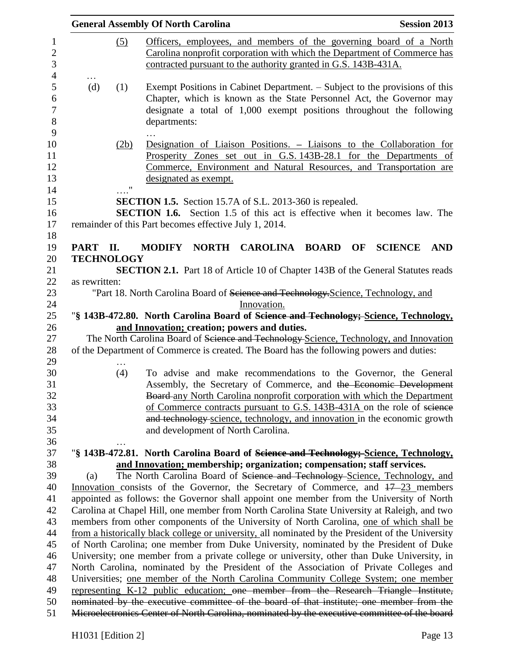|                   |           | <b>General Assembly Of North Carolina</b>                                                                                                                                                                                                   | <b>Session 2013</b>          |
|-------------------|-----------|---------------------------------------------------------------------------------------------------------------------------------------------------------------------------------------------------------------------------------------------|------------------------------|
|                   | (5)       | Officers, employees, and members of the governing board of a North<br>Carolina nonprofit corporation with which the Department of Commerce has<br>contracted pursuant to the authority granted in G.S. 143B-431A.                           |                              |
| $\cdots$<br>(d)   | (1)       | Exempt Positions in Cabinet Department. – Subject to the provisions of this<br>Chapter, which is known as the State Personnel Act, the Governor may<br>designate a total of 1,000 exempt positions throughout the following<br>departments: |                              |
|                   | (2b)<br>" | Designation of Liaison Positions. – Liaisons to the Collaboration for<br>Prosperity Zones set out in G.S. 143B-28.1 for the Departments of<br>Commerce, Environment and Natural Resources, and Transportation are<br>designated as exempt.  |                              |
|                   |           | <b>SECTION 1.5.</b> Section 15.7A of S.L. 2013-360 is repealed.<br><b>SECTION 1.6.</b> Section 1.5 of this act is effective when it becomes law. The<br>remainder of this Part becomes effective July 1, 2014.                              |                              |
| PART II.          |           | NORTH CAROLINA BOARD<br><b>MODIFY</b><br>OF                                                                                                                                                                                                 | <b>SCIENCE</b><br><b>AND</b> |
| <b>TECHNOLOGY</b> |           |                                                                                                                                                                                                                                             |                              |
|                   |           | <b>SECTION 2.1.</b> Part 18 of Article 10 of Chapter 143B of the General Statutes reads                                                                                                                                                     |                              |
| as rewritten:     |           |                                                                                                                                                                                                                                             |                              |
|                   |           | "Part 18. North Carolina Board of Science and Technology-Science, Technology, and                                                                                                                                                           |                              |
|                   |           | Innovation.                                                                                                                                                                                                                                 |                              |
|                   |           | "§ 143B-472.80. North Carolina Board of Science and Technology; Science, Technology,                                                                                                                                                        |                              |
|                   |           | and Innovation; creation; powers and duties.                                                                                                                                                                                                |                              |
|                   |           | The North Carolina Board of Science and Technology-Science, Technology, and Innovation                                                                                                                                                      |                              |
|                   |           | of the Department of Commerce is created. The Board has the following powers and duties:                                                                                                                                                    |                              |
|                   |           |                                                                                                                                                                                                                                             |                              |
|                   | (4)       | To advise and make recommendations to the Governor, the General                                                                                                                                                                             |                              |
|                   |           | Assembly, the Secretary of Commerce, and the Economic Development                                                                                                                                                                           |                              |
|                   |           | Board-any North Carolina nonprofit corporation with which the Department                                                                                                                                                                    |                              |
|                   |           | of Commerce contracts pursuant to G.S. 143B-431A on the role of science                                                                                                                                                                     |                              |
|                   |           | and technology science, technology, and innovation in the economic growth                                                                                                                                                                   |                              |
|                   |           | and development of North Carolina.                                                                                                                                                                                                          |                              |
|                   |           |                                                                                                                                                                                                                                             |                              |
|                   |           | "§ 143B-472.81. North Carolina Board of <del>Science and Technology; Science, Technology,</del>                                                                                                                                             |                              |
|                   |           | and Innovation; membership; organization; compensation; staff services.                                                                                                                                                                     |                              |
| (a)               |           | The North Carolina Board of Science and Technology-Science, Technology, and                                                                                                                                                                 |                              |
|                   |           | Innovation consists of the Governor, the Secretary of Commerce, and $17-23$ members                                                                                                                                                         |                              |
|                   |           | appointed as follows: the Governor shall appoint one member from the University of North                                                                                                                                                    |                              |
|                   |           | Carolina at Chapel Hill, one member from North Carolina State University at Raleigh, and two                                                                                                                                                |                              |
|                   |           | members from other components of the University of North Carolina, one of which shall be                                                                                                                                                    |                              |
|                   |           | from a historically black college or university, all nominated by the President of the University                                                                                                                                           |                              |
|                   |           | of North Carolina; one member from Duke University, nominated by the President of Duke                                                                                                                                                      |                              |
|                   |           | University; one member from a private college or university, other than Duke University, in                                                                                                                                                 |                              |
|                   |           | North Carolina, nominated by the President of the Association of Private Colleges and                                                                                                                                                       |                              |
|                   |           | Universities; one member of the North Carolina Community College System; one member                                                                                                                                                         |                              |
|                   |           | representing K-12 public education; one member from the Research Triangle Institute,                                                                                                                                                        |                              |
|                   |           | nominated by the executive committee of the board of that institute; one member from the                                                                                                                                                    |                              |
|                   |           | Microelectronics Center of North Carolina, nominated by the executive committee of the board                                                                                                                                                |                              |
|                   |           |                                                                                                                                                                                                                                             |                              |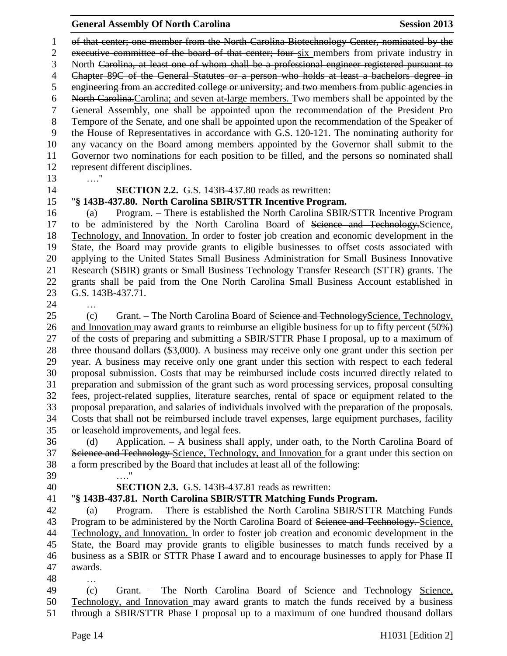of that center; one member from the North Carolina Biotechnology Center, nominated by the executive committee of the board of that center; four six members from private industry in North Carolina, at least one of whom shall be a professional engineer registered pursuant to Chapter 89C of the General Statutes or a person who holds at least a bachelors degree in engineering from an accredited college or university; and two members from public agencies in North Carolina.Carolina; and seven at-large members. Two members shall be appointed by the General Assembly, one shall be appointed upon the recommendation of the President Pro Tempore of the Senate, and one shall be appointed upon the recommendation of the Speaker of the House of Representatives in accordance with G.S. 120-121. The nominating authority for any vacancy on the Board among members appointed by the Governor shall submit to the Governor two nominations for each position to be filled, and the persons so nominated shall represent different disciplines.

…."

**SECTION 2.2.** G.S. 143B-437.80 reads as rewritten:

## "**§ 143B-437.80. North Carolina SBIR/STTR Incentive Program.**

 (a) Program. – There is established the North Carolina SBIR/STTR Incentive Program to be administered by the North Carolina Board of Science and Technology.Science, Technology, and Innovation. In order to foster job creation and economic development in the State, the Board may provide grants to eligible businesses to offset costs associated with applying to the United States Small Business Administration for Small Business Innovative Research (SBIR) grants or Small Business Technology Transfer Research (STTR) grants. The grants shall be paid from the One North Carolina Small Business Account established in G.S. 143B-437.71.

…

25 (c) Grant. – The North Carolina Board of Science and TechnologyScience, Technology, and Innovation may award grants to reimburse an eligible business for up to fifty percent (50%) of the costs of preparing and submitting a SBIR/STTR Phase I proposal, up to a maximum of three thousand dollars (\$3,000). A business may receive only one grant under this section per year. A business may receive only one grant under this section with respect to each federal proposal submission. Costs that may be reimbursed include costs incurred directly related to preparation and submission of the grant such as word processing services, proposal consulting fees, project-related supplies, literature searches, rental of space or equipment related to the proposal preparation, and salaries of individuals involved with the preparation of the proposals. Costs that shall not be reimbursed include travel expenses, large equipment purchases, facility or leasehold improvements, and legal fees.

 (d) Application. – A business shall apply, under oath, to the North Carolina Board of 37 Science and Technology-Science, Technology, and Innovation for a grant under this section on a form prescribed by the Board that includes at least all of the following: …."

- 
- 

## **SECTION 2.3.** G.S. 143B-437.81 reads as rewritten:

"**§ 143B-437.81. North Carolina SBIR/STTR Matching Funds Program.**

 (a) Program. – There is established the North Carolina SBIR/STTR Matching Funds 43 Program to be administered by the North Carolina Board of <del>Science and Technology.</del> Science, Technology, and Innovation. In order to foster job creation and economic development in the State, the Board may provide grants to eligible businesses to match funds received by a business as a SBIR or STTR Phase I award and to encourage businesses to apply for Phase II awards.

…

 (c) Grant. – The North Carolina Board of Science and Technology Science, Technology, and Innovation may award grants to match the funds received by a business through a SBIR/STTR Phase I proposal up to a maximum of one hundred thousand dollars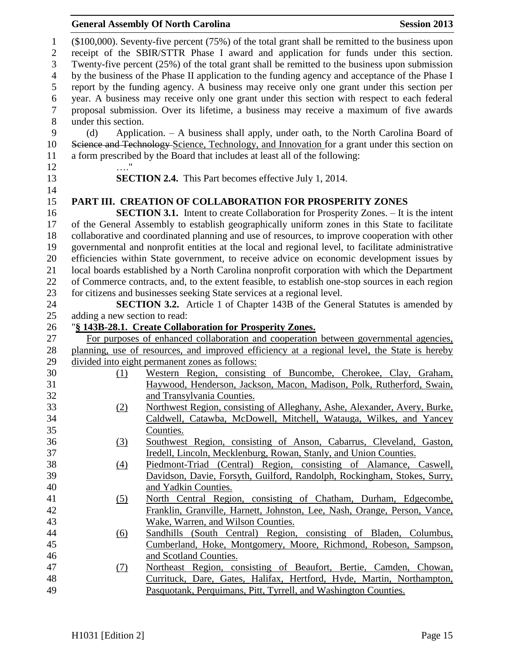#### **General Assembly Of North Carolina Session 2013**

 (\$100,000). Seventy-five percent (75%) of the total grant shall be remitted to the business upon receipt of the SBIR/STTR Phase I award and application for funds under this section. Twenty-five percent (25%) of the total grant shall be remitted to the business upon submission by the business of the Phase II application to the funding agency and acceptance of the Phase I report by the funding agency. A business may receive only one grant under this section per year. A business may receive only one grant under this section with respect to each federal proposal submission. Over its lifetime, a business may receive a maximum of five awards under this section. (d) Application. – A business shall apply, under oath, to the North Carolina Board of 10 Science and Technology Science, Technology, and Innovation for a grant under this section on a form prescribed by the Board that includes at least all of the following: …." **SECTION 2.4.** This Part becomes effective July 1, 2014. **PART III. CREATION OF COLLABORATION FOR PROSPERITY ZONES SECTION 3.1.** Intent to create Collaboration for Prosperity Zones. – It is the intent of the General Assembly to establish geographically uniform zones in this State to facilitate collaborative and coordinated planning and use of resources, to improve cooperation with other governmental and nonprofit entities at the local and regional level, to facilitate administrative efficiencies within State government, to receive advice on economic development issues by local boards established by a North Carolina nonprofit corporation with which the Department of Commerce contracts, and, to the extent feasible, to establish one-stop sources in each region for citizens and businesses seeking State services at a regional level. **SECTION 3.2.** Article 1 of Chapter 143B of the General Statutes is amended by adding a new section to read: "**§ 143B-28.1. Create Collaboration for Prosperity Zones.** For purposes of enhanced collaboration and cooperation between governmental agencies, planning, use of resources, and improved efficiency at a regional level, the State is hereby divided into eight permanent zones as follows: (1) Western Region, consisting of Buncombe, Cherokee, Clay, Graham, Haywood, Henderson, Jackson, Macon, Madison, Polk, Rutherford, Swain, and Transylvania Counties. (2) Northwest Region, consisting of Alleghany, Ashe, Alexander, Avery, Burke, Caldwell, Catawba, McDowell, Mitchell, Watauga, Wilkes, and Yancey Counties. (3) Southwest Region, consisting of Anson, Cabarrus, Cleveland, Gaston, Iredell, Lincoln, Mecklenburg, Rowan, Stanly, and Union Counties. (4) Piedmont-Triad (Central) Region, consisting of Alamance, Caswell, Davidson, Davie, Forsyth, Guilford, Randolph, Rockingham, Stokes, Surry, and Yadkin Counties. (5) North Central Region, consisting of Chatham, Durham, Edgecombe, Franklin, Granville, Harnett, Johnston, Lee, Nash, Orange, Person, Vance, Wake, Warren, and Wilson Counties. (6) Sandhills (South Central) Region, consisting of Bladen, Columbus, Cumberland, Hoke, Montgomery, Moore, Richmond, Robeson, Sampson, and Scotland Counties. (7) Northeast Region, consisting of Beaufort, Bertie, Camden, Chowan, Currituck, Dare, Gates, Halifax, Hertford, Hyde, Martin, Northampton, Pasquotank, Perquimans, Pitt, Tyrrell, and Washington Counties.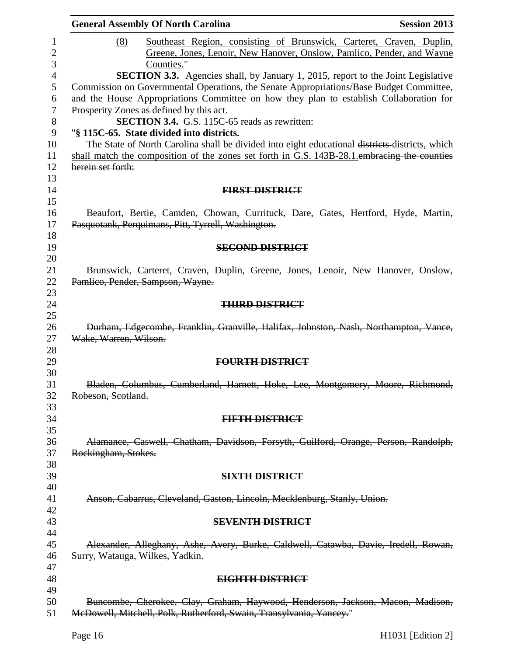|                                          | <b>General Assembly Of North Carolina</b>                                                                                                                                                                                                                                    | <b>Session 2013</b> |
|------------------------------------------|------------------------------------------------------------------------------------------------------------------------------------------------------------------------------------------------------------------------------------------------------------------------------|---------------------|
| (8)                                      | Southeast Region, consisting of Brunswick, Carteret, Craven, Duplin,                                                                                                                                                                                                         |                     |
|                                          | Greene, Jones, Lenoir, New Hanover, Onslow, Pamlico, Pender, and Wayne                                                                                                                                                                                                       |                     |
|                                          | Counties."                                                                                                                                                                                                                                                                   |                     |
|                                          | <b>SECTION 3.3.</b> Agencies shall, by January 1, 2015, report to the Joint Legislative<br>Commission on Governmental Operations, the Senate Appropriations/Base Budget Committee,<br>and the House Appropriations Committee on how they plan to establish Collaboration for |                     |
| Prosperity Zones as defined by this act. | SECTION 3.4. G.S. 115C-65 reads as rewritten:                                                                                                                                                                                                                                |                     |
|                                          | "§ 115C-65. State divided into districts.                                                                                                                                                                                                                                    |                     |
|                                          | The State of North Carolina shall be divided into eight educational districts districts, which                                                                                                                                                                               |                     |
|                                          | shall match the composition of the zones set forth in G.S. 143B-28.1 embracing the counties                                                                                                                                                                                  |                     |
| herein set forth:                        |                                                                                                                                                                                                                                                                              |                     |
|                                          | <b>FIRST DISTRICT</b>                                                                                                                                                                                                                                                        |                     |
|                                          |                                                                                                                                                                                                                                                                              |                     |
|                                          | Beaufort, Bertie, Camden, Chowan, Currituck, Dare, Gates, Hertford, Hyde, Martin,<br>Pasquotank, Perquimans, Pitt, Tyrrell, Washington.                                                                                                                                      |                     |
|                                          | <b>SECOND DISTRICT</b>                                                                                                                                                                                                                                                       |                     |
|                                          | Brunswick, Carteret, Craven, Duplin, Greene, Jones, Lenoir, New Hanover, Onslow,                                                                                                                                                                                             |                     |
| Pamlico, Pender, Sampson, Wayne.         |                                                                                                                                                                                                                                                                              |                     |
|                                          |                                                                                                                                                                                                                                                                              |                     |
|                                          | <b>THIRD DISTRICT</b>                                                                                                                                                                                                                                                        |                     |
|                                          |                                                                                                                                                                                                                                                                              |                     |
| Wake, Warren, Wilson.                    | Durham, Edgecombe, Franklin, Granville, Halifax, Johnston, Nash, Northampton, Vance,                                                                                                                                                                                         |                     |
|                                          | <b>FOURTH DISTRICT</b>                                                                                                                                                                                                                                                       |                     |
|                                          |                                                                                                                                                                                                                                                                              |                     |
| Robeson, Scotland.                       | Bladen, Columbus, Cumberland, Harnett, Hoke, Lee, Montgomery, Moore, Richmond,                                                                                                                                                                                               |                     |
|                                          | <b>FIFTH DISTRICT</b>                                                                                                                                                                                                                                                        |                     |
|                                          |                                                                                                                                                                                                                                                                              |                     |
|                                          | Alamance, Caswell, Chatham, Davidson, Forsyth, Guilford, Orange, Person, Randolph,                                                                                                                                                                                           |                     |
| Rockingham, Stokes.                      |                                                                                                                                                                                                                                                                              |                     |
|                                          |                                                                                                                                                                                                                                                                              |                     |
|                                          | <b>SIXTH DISTRICT</b>                                                                                                                                                                                                                                                        |                     |
|                                          |                                                                                                                                                                                                                                                                              |                     |
|                                          | Anson, Cabarrus, Cleveland, Gaston, Lincoln, Mecklenburg, Stanly, Union.                                                                                                                                                                                                     |                     |
|                                          | <b>SEVENTH DISTRICT</b>                                                                                                                                                                                                                                                      |                     |
|                                          |                                                                                                                                                                                                                                                                              |                     |
| Surry, Watauga, Wilkes, Yadkin.          | Alexander, Alleghany, Ashe, Avery, Burke, Caldwell, Catawba, Davie, Iredell, Rowan,                                                                                                                                                                                          |                     |
|                                          | <b>EIGHTH DISTRICT</b>                                                                                                                                                                                                                                                       |                     |
|                                          |                                                                                                                                                                                                                                                                              |                     |
|                                          | Buncombe, Cherokee, Clay, Graham, Haywood, Henderson, Jackson, Macon, Madison,<br>McDowell, Mitchell, Polk, Rutherford, Swain, Transylvania, Yancey."                                                                                                                        |                     |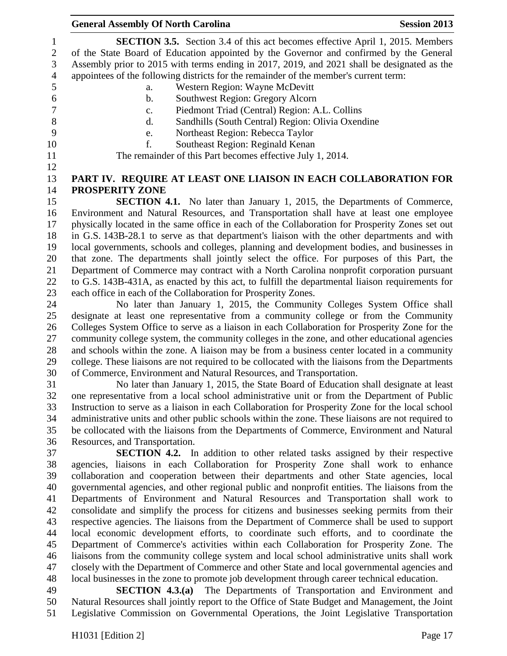**General Assembly Of North Carolina Session 2013 SECTION 3.5.** Section 3.4 of this act becomes effective April 1, 2015. Members of the State Board of Education appointed by the Governor and confirmed by the General Assembly prior to 2015 with terms ending in 2017, 2019, and 2021 shall be designated as the appointees of the following districts for the remainder of the member's current term: a. Western Region: Wayne McDevitt b. Southwest Region: Gregory Alcorn c. Piedmont Triad (Central) Region: A.L. Collins d. Sandhills (South Central) Region: Olivia Oxendine e. Northeast Region: Rebecca Taylor f. Southeast Region: Reginald Kenan The remainder of this Part becomes effective July 1, 2014. **PART IV. REQUIRE AT LEAST ONE LIAISON IN EACH COLLABORATION FOR PROSPERITY ZONE SECTION 4.1.** No later than January 1, 2015, the Departments of Commerce, Environment and Natural Resources, and Transportation shall have at least one employee physically located in the same office in each of the Collaboration for Prosperity Zones set out in G.S. 143B-28.1 to serve as that department's liaison with the other departments and with local governments, schools and colleges, planning and development bodies, and businesses in that zone. The departments shall jointly select the office. For purposes of this Part, the Department of Commerce may contract with a North Carolina nonprofit corporation pursuant to G.S. 143B-431A, as enacted by this act, to fulfill the departmental liaison requirements for each office in each of the Collaboration for Prosperity Zones. No later than January 1, 2015, the Community Colleges System Office shall designate at least one representative from a community college or from the Community Colleges System Office to serve as a liaison in each Collaboration for Prosperity Zone for the community college system, the community colleges in the zone, and other educational agencies and schools within the zone. A liaison may be from a business center located in a community college. These liaisons are not required to be collocated with the liaisons from the Departments of Commerce, Environment and Natural Resources, and Transportation. No later than January 1, 2015, the State Board of Education shall designate at least one representative from a local school administrative unit or from the Department of Public Instruction to serve as a liaison in each Collaboration for Prosperity Zone for the local school administrative units and other public schools within the zone. These liaisons are not required to be collocated with the liaisons from the Departments of Commerce, Environment and Natural Resources, and Transportation. **SECTION 4.2.** In addition to other related tasks assigned by their respective agencies, liaisons in each Collaboration for Prosperity Zone shall work to enhance collaboration and cooperation between their departments and other State agencies, local governmental agencies, and other regional public and nonprofit entities. The liaisons from the Departments of Environment and Natural Resources and Transportation shall work to consolidate and simplify the process for citizens and businesses seeking permits from their

 respective agencies. The liaisons from the Department of Commerce shall be used to support local economic development efforts, to coordinate such efforts, and to coordinate the Department of Commerce's activities within each Collaboration for Prosperity Zone. The liaisons from the community college system and local school administrative units shall work closely with the Department of Commerce and other State and local governmental agencies and local businesses in the zone to promote job development through career technical education.

 **SECTION 4.3.(a)** The Departments of Transportation and Environment and Natural Resources shall jointly report to the Office of State Budget and Management, the Joint Legislative Commission on Governmental Operations, the Joint Legislative Transportation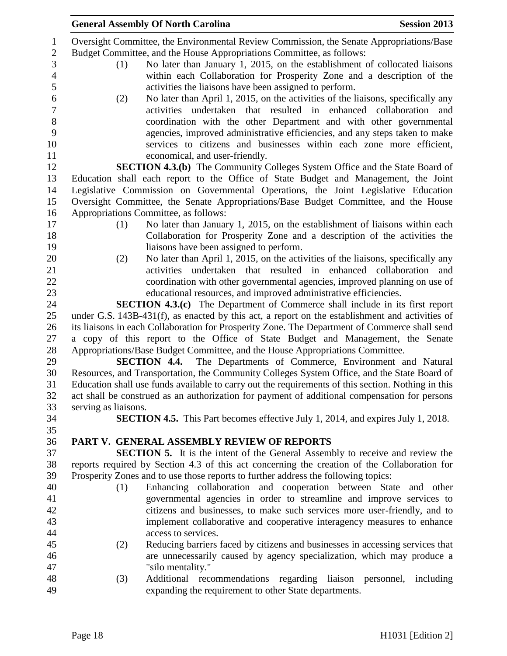|                      | <b>General Assembly Of North Carolina</b>                                                          | <b>Session 2013</b> |
|----------------------|----------------------------------------------------------------------------------------------------|---------------------|
|                      | Oversight Committee, the Environmental Review Commission, the Senate Appropriations/Base           |                     |
|                      | Budget Committee, and the House Appropriations Committee, as follows:                              |                     |
| (1)                  | No later than January 1, 2015, on the establishment of collocated liaisons                         |                     |
|                      | within each Collaboration for Prosperity Zone and a description of the                             |                     |
|                      | activities the liaisons have been assigned to perform.                                             |                     |
| (2)                  | No later than April 1, 2015, on the activities of the liaisons, specifically any                   |                     |
|                      | activities undertaken that resulted in enhanced collaboration                                      | and                 |
|                      | coordination with the other Department and with other governmental                                 |                     |
|                      | agencies, improved administrative efficiencies, and any steps taken to make                        |                     |
|                      | services to citizens and businesses within each zone more efficient,                               |                     |
|                      |                                                                                                    |                     |
|                      | economical, and user-friendly.                                                                     |                     |
|                      | <b>SECTION 4.3.(b)</b> The Community Colleges System Office and the State Board of                 |                     |
|                      | Education shall each report to the Office of State Budget and Management, the Joint                |                     |
|                      | Legislative Commission on Governmental Operations, the Joint Legislative Education                 |                     |
|                      | Oversight Committee, the Senate Appropriations/Base Budget Committee, and the House                |                     |
|                      | Appropriations Committee, as follows:                                                              |                     |
| (1)                  | No later than January 1, 2015, on the establishment of liaisons within each                        |                     |
|                      | Collaboration for Prosperity Zone and a description of the activities the                          |                     |
|                      | liaisons have been assigned to perform.                                                            |                     |
| (2)                  | No later than April 1, 2015, on the activities of the liaisons, specifically any                   |                     |
|                      | activities undertaken that resulted in enhanced collaboration                                      | and                 |
|                      | coordination with other governmental agencies, improved planning on use of                         |                     |
|                      | educational resources, and improved administrative efficiencies.                                   |                     |
|                      | <b>SECTION 4.3.(c)</b> The Department of Commerce shall include in its first report                |                     |
|                      | under G.S. 143B-431(f), as enacted by this act, a report on the establishment and activities of    |                     |
|                      | its liaisons in each Collaboration for Prosperity Zone. The Department of Commerce shall send      |                     |
|                      | a copy of this report to the Office of State Budget and Management, the Senate                     |                     |
|                      | Appropriations/Base Budget Committee, and the House Appropriations Committee.                      |                     |
|                      | <b>SECTION 4.4.</b> The Departments of Commerce, Environment and Natural                           |                     |
|                      | Resources, and Transportation, the Community Colleges System Office, and the State Board of        |                     |
|                      | Education shall use funds available to carry out the requirements of this section. Nothing in this |                     |
|                      | act shall be construed as an authorization for payment of additional compensation for persons      |                     |
| serving as liaisons. |                                                                                                    |                     |
|                      | <b>SECTION 4.5.</b> This Part becomes effective July 1, 2014, and expires July 1, 2018.            |                     |
|                      |                                                                                                    |                     |
|                      | PART V. GENERAL ASSEMBLY REVIEW OF REPORTS                                                         |                     |
|                      | <b>SECTION 5.</b> It is the intent of the General Assembly to receive and review the               |                     |
|                      | reports required by Section 4.3 of this act concerning the creation of the Collaboration for       |                     |
|                      | Prosperity Zones and to use those reports to further address the following topics:                 |                     |
| (1)                  | Enhancing collaboration and cooperation between State                                              | and other           |
|                      | governmental agencies in order to streamline and improve services to                               |                     |
|                      | citizens and businesses, to make such services more user-friendly, and to                          |                     |
|                      | implement collaborative and cooperative interagency measures to enhance                            |                     |
|                      | access to services.                                                                                |                     |
| (2)                  | Reducing barriers faced by citizens and businesses in accessing services that                      |                     |
|                      | are unnecessarily caused by agency specialization, which may produce a                             |                     |
|                      | "silo mentality."                                                                                  |                     |
| (3)                  | Additional recommendations regarding liaison personnel, including                                  |                     |
|                      | expanding the requirement to other State departments.                                              |                     |